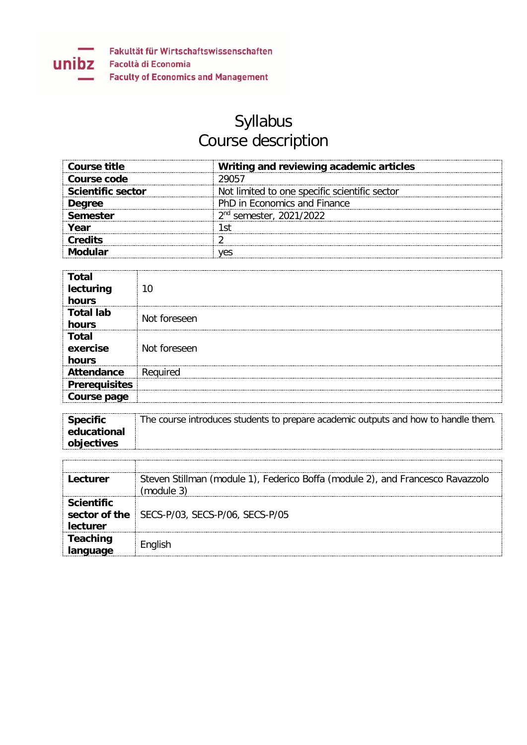

## Syllabus Course description

| Course title             | Writing and reviewing academic articles       |
|--------------------------|-----------------------------------------------|
| Course code              | 29057                                         |
| <b>Scientific sector</b> | Not limited to one specific scientific sector |
| Dearee                   | PhD in Economics and Finance                  |
| Semester                 | 2 <sup>nd</sup> semester, 2021/2022           |
| Year                     |                                               |
| <b>Credits</b>           |                                               |
|                          |                                               |

| Total                             |              |
|-----------------------------------|--------------|
| lecturing<br>hours                |              |
| <b>Total lab</b>                  | Not foreseen |
| hours                             |              |
| <b>Total</b><br>exercise<br>hours | Not foreseen |
| <b>Attendance</b>                 | Required     |
|                                   |              |
| <b>Prerequisites</b>              |              |
| Course page                       |              |

| <b>Specific</b> | The course introduces students to prepare academic outputs and how to handle them. |
|-----------------|------------------------------------------------------------------------------------|
| educational     |                                                                                    |
| objectives      |                                                                                    |

| Lecturer          | Steven Stillman (module 1), Federico Boffa (module 2), and Francesco Ravazzolo |
|-------------------|--------------------------------------------------------------------------------|
|                   | (module 3)                                                                     |
| <b>Scientific</b> |                                                                                |
|                   | sector of the SECS-P/03, SECS-P/06, SECS-P/05                                  |
| <u>lecturer</u>   |                                                                                |
| <b>Teaching</b>   |                                                                                |
| language          | English                                                                        |